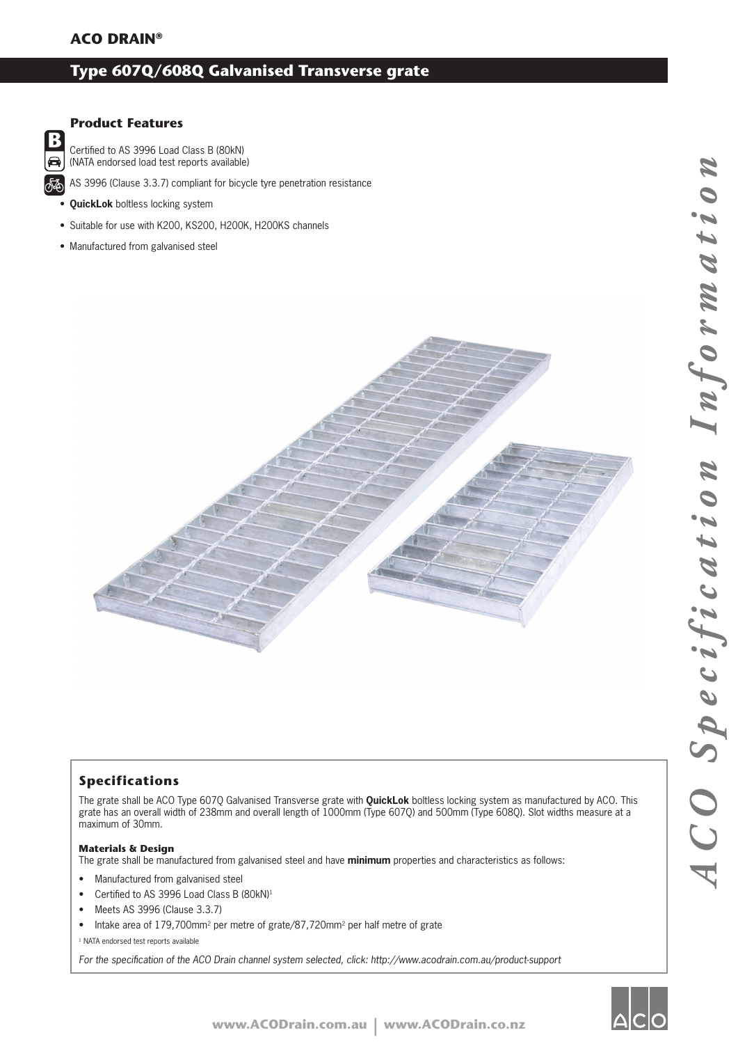### **Type 607Q/608Q Galvanised Transverse grate**

### **Product Features**

B 8

Certified to AS 3996 Load Class B (80kN) (NATA endorsed load test reports available)

AS 3996 (Clause 3.3.7) compliant for bicycle tyre penetration resistance

- **QuickLok** boltless locking system
- Suitable for use with K200, KS200, H200K, H200KS channels
- Manufactured from galvanised steel



### **Specifications**

The grate shall be ACO Type 607Q Galvanised Transverse grate with **QuickLok** boltless locking system as manufactured by ACO. This grate has an overall width of 238mm and overall length of 1000mm (Type 607Q) and 500mm (Type 608Q). Slot widths measure at a maximum of 30mm.

#### **Materials & Design**

The grate shall be manufactured from galvanised steel and have **minimum** properties and characteristics as follows:

- Manufactured from galvanised steel
- Certified to AS 3996 Load Class B (80kN)<sup>1</sup>
- Meets AS 3996 (Clause 3.3.7)
- Intake area of 179,700mm<sup>2</sup> per metre of grate/87,720mm<sup>2</sup> per half metre of grate

<sup>1</sup> NATA endorsed test reports available

For the specification of the ACO Drain channel system selected, click: http://www.acodrain.com.au/product-support